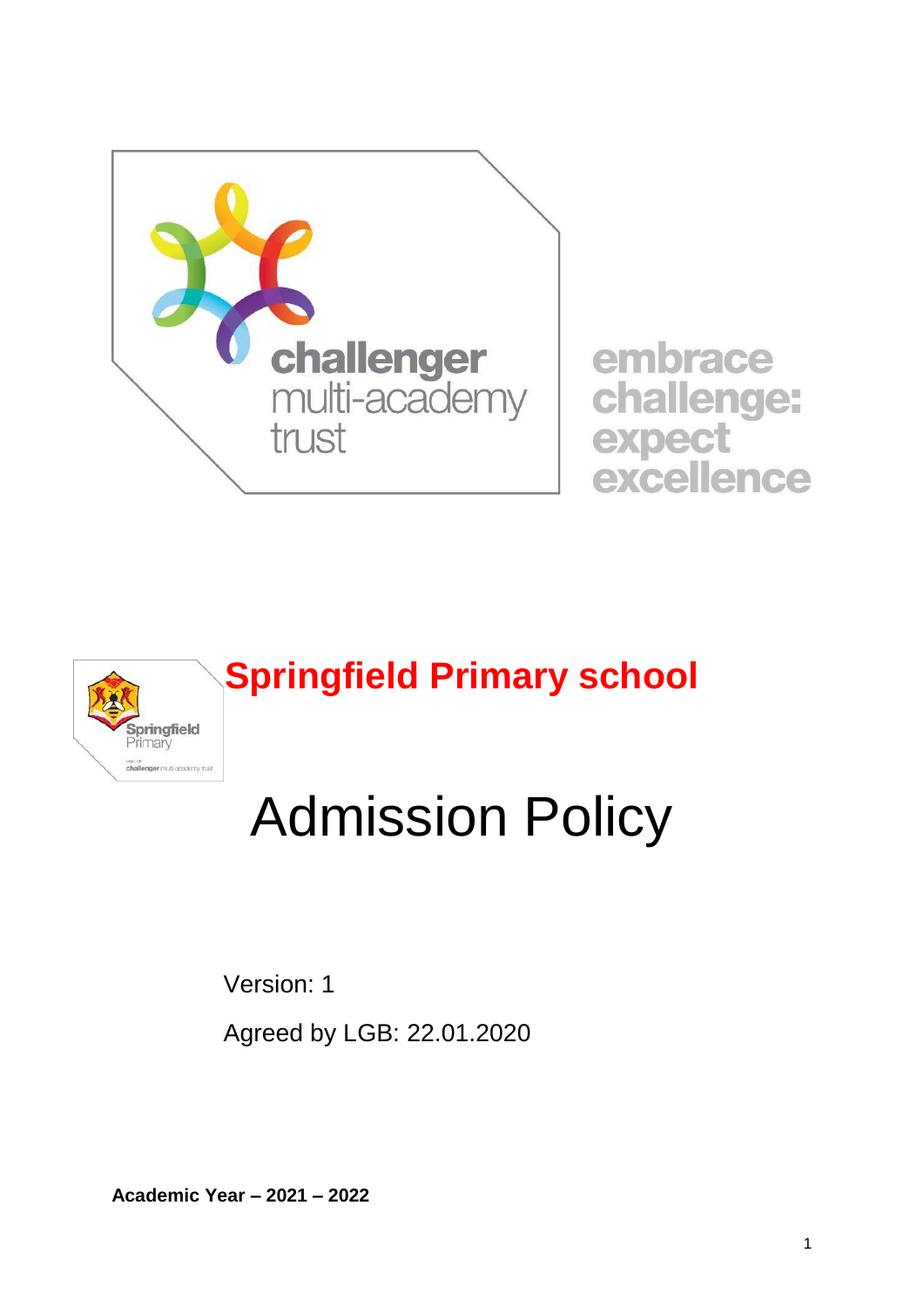

embrace challenge: expect excellence



# Admission Policy

Version: 1

Agreed by LGB: 22.01.2020

**Academic Year – 2021 – 2022**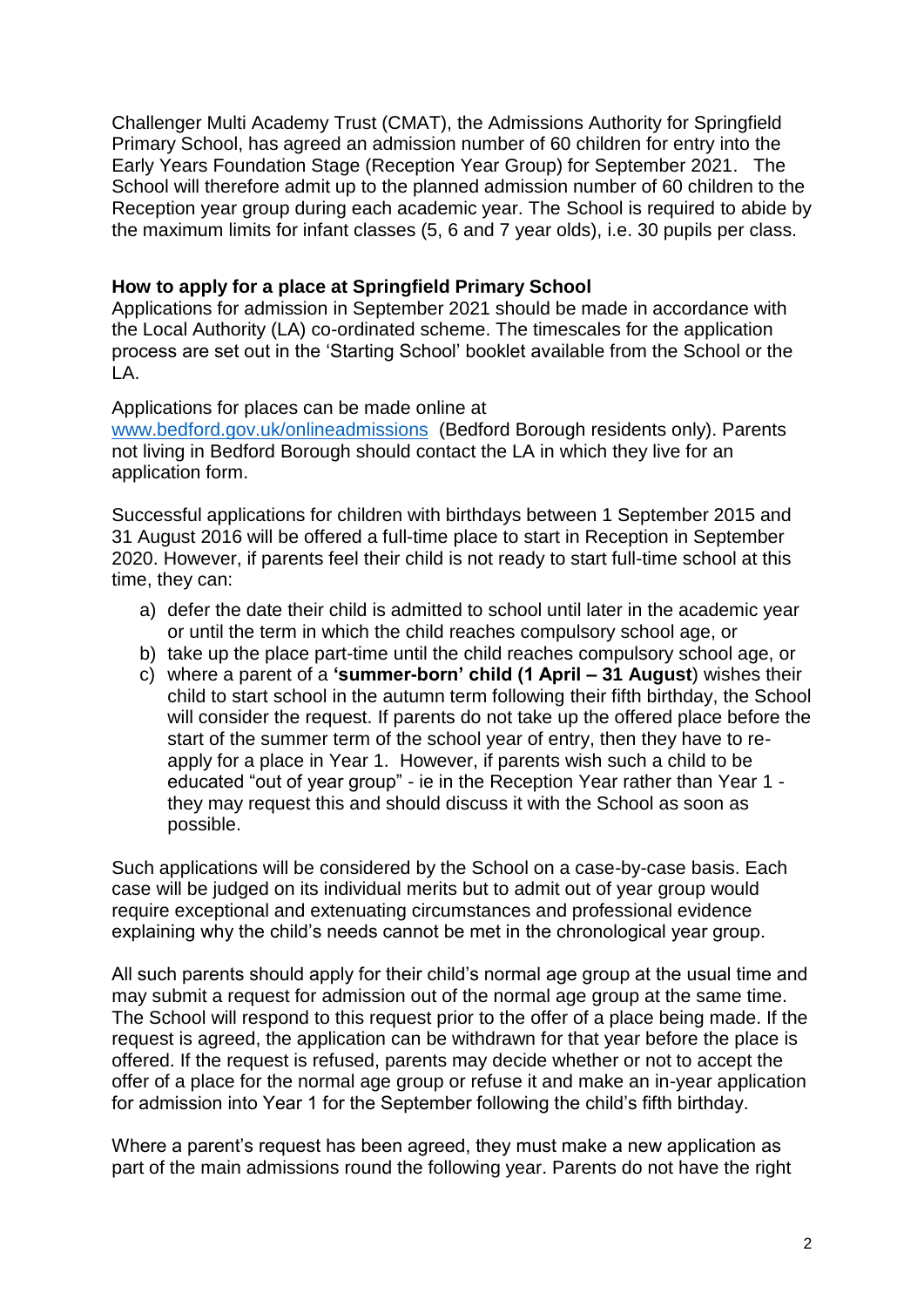Challenger Multi Academy Trust (CMAT), the Admissions Authority for Springfield Primary School, has agreed an admission number of 60 children for entry into the Early Years Foundation Stage (Reception Year Group) for September 2021. The School will therefore admit up to the planned admission number of 60 children to the Reception year group during each academic year. The School is required to abide by the maximum limits for infant classes (5, 6 and 7 year olds), i.e. 30 pupils per class.

#### **How to apply for a place at Springfield Primary School**

Applications for admission in September 2021 should be made in accordance with the Local Authority (LA) co-ordinated scheme. The timescales for the application process are set out in the 'Starting School' booklet available from the School or the LA.

Applications for places can be made online at [www.bedford.gov.uk/onlineadmissions](http://www.bedford.gov.uk/onlineadmissions) (Bedford Borough residents only). Parents not living in Bedford Borough should contact the LA in which they live for an application form.

Successful applications for children with birthdays between 1 September 2015 and 31 August 2016 will be offered a full-time place to start in Reception in September 2020. However, if parents feel their child is not ready to start full-time school at this time, they can:

- a) defer the date their child is admitted to school until later in the academic year or until the term in which the child reaches compulsory school age, or
- b) take up the place part-time until the child reaches compulsory school age, or
- c) where a parent of a **'summer-born' child (1 April – 31 August**) wishes their child to start school in the autumn term following their fifth birthday, the School will consider the request. If parents do not take up the offered place before the start of the summer term of the school year of entry, then they have to reapply for a place in Year 1. However, if parents wish such a child to be educated "out of year group" - ie in the Reception Year rather than Year 1 they may request this and should discuss it with the School as soon as possible.

Such applications will be considered by the School on a case-by-case basis. Each case will be judged on its individual merits but to admit out of year group would require exceptional and extenuating circumstances and professional evidence explaining why the child's needs cannot be met in the chronological year group.

All such parents should apply for their child's normal age group at the usual time and may submit a request for admission out of the normal age group at the same time. The School will respond to this request prior to the offer of a place being made. If the request is agreed, the application can be withdrawn for that year before the place is offered. If the request is refused, parents may decide whether or not to accept the offer of a place for the normal age group or refuse it and make an in-year application for admission into Year 1 for the September following the child's fifth birthday.

Where a parent's request has been agreed, they must make a new application as part of the main admissions round the following year. Parents do not have the right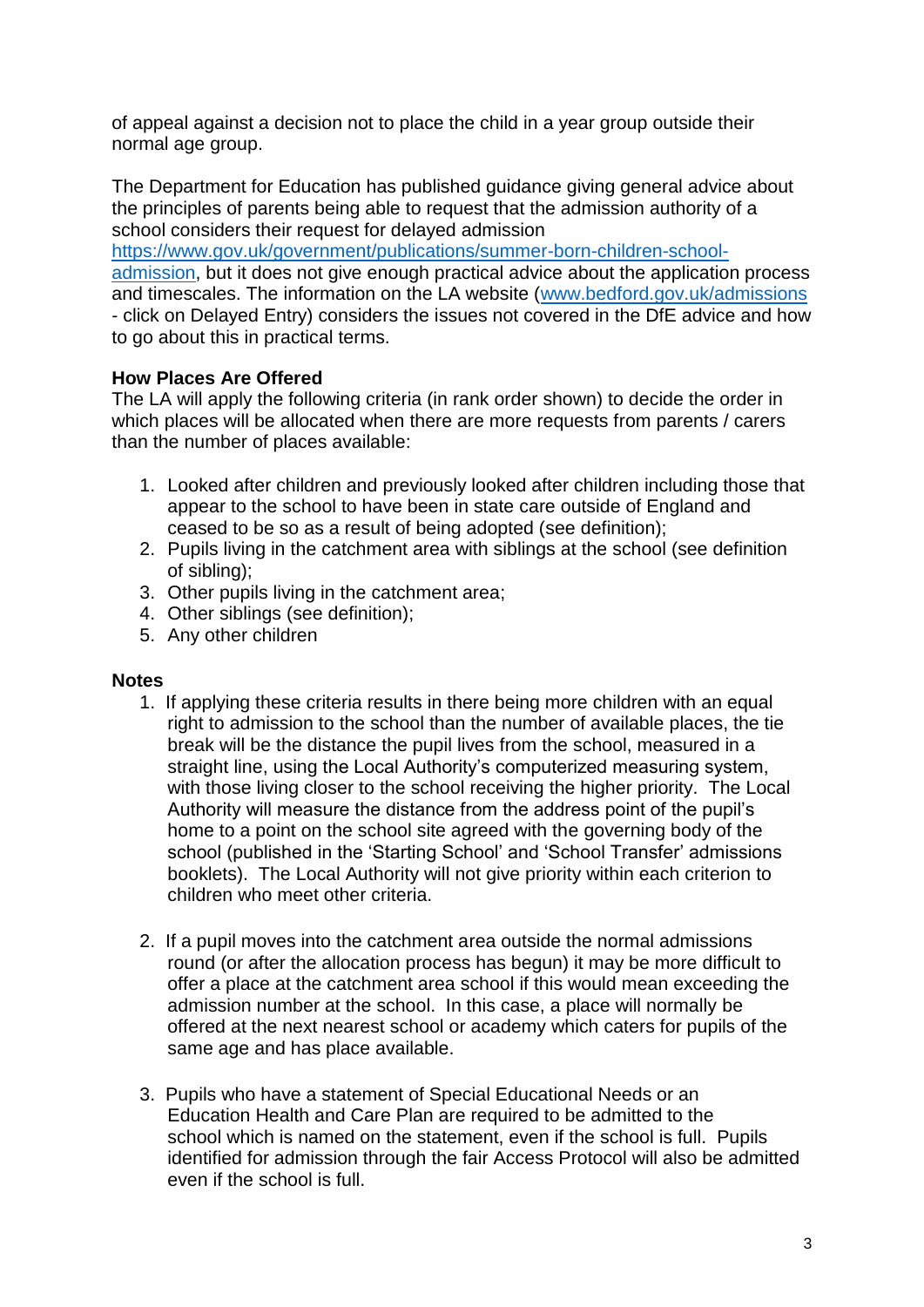of appeal against a decision not to place the child in a year group outside their normal age group.

The Department for Education has published guidance giving general advice about the principles of parents being able to request that the admission authority of a school considers their request for delayed admission

[https://www.gov.uk/government/publications/summer-born-children-school](https://www.gov.uk/government/publications/summer-born-children-school-admission)[admission,](https://www.gov.uk/government/publications/summer-born-children-school-admission) but it does not give enough practical advice about the application process and timescales. The information on the LA website [\(www.bedford.gov.uk/admissions](http://www.bedford.gov.uk/admissions)  - click on Delayed Entry) considers the issues not covered in the DfE advice and how to go about this in practical terms.

# **How Places Are Offered**

The LA will apply the following criteria (in rank order shown) to decide the order in which places will be allocated when there are more requests from parents / carers than the number of places available:

- 1. Looked after children and previously looked after children including those that appear to the school to have been in state care outside of England and ceased to be so as a result of being adopted (see definition);
- 2. Pupils living in the catchment area with siblings at the school (see definition of sibling);
- 3. Other pupils living in the catchment area;
- 4. Other siblings (see definition);
- 5. Any other children

## **Notes**

- 1. If applying these criteria results in there being more children with an equal right to admission to the school than the number of available places, the tie break will be the distance the pupil lives from the school, measured in a straight line, using the Local Authority's computerized measuring system, with those living closer to the school receiving the higher priority. The Local Authority will measure the distance from the address point of the pupil's home to a point on the school site agreed with the governing body of the school (published in the 'Starting School' and 'School Transfer' admissions booklets). The Local Authority will not give priority within each criterion to children who meet other criteria.
- 2. If a pupil moves into the catchment area outside the normal admissions round (or after the allocation process has begun) it may be more difficult to offer a place at the catchment area school if this would mean exceeding the admission number at the school. In this case, a place will normally be offered at the next nearest school or academy which caters for pupils of the same age and has place available.
- 3. Pupils who have a statement of Special Educational Needs or an Education Health and Care Plan are required to be admitted to the school which is named on the statement, even if the school is full. Pupils identified for admission through the fair Access Protocol will also be admitted even if the school is full.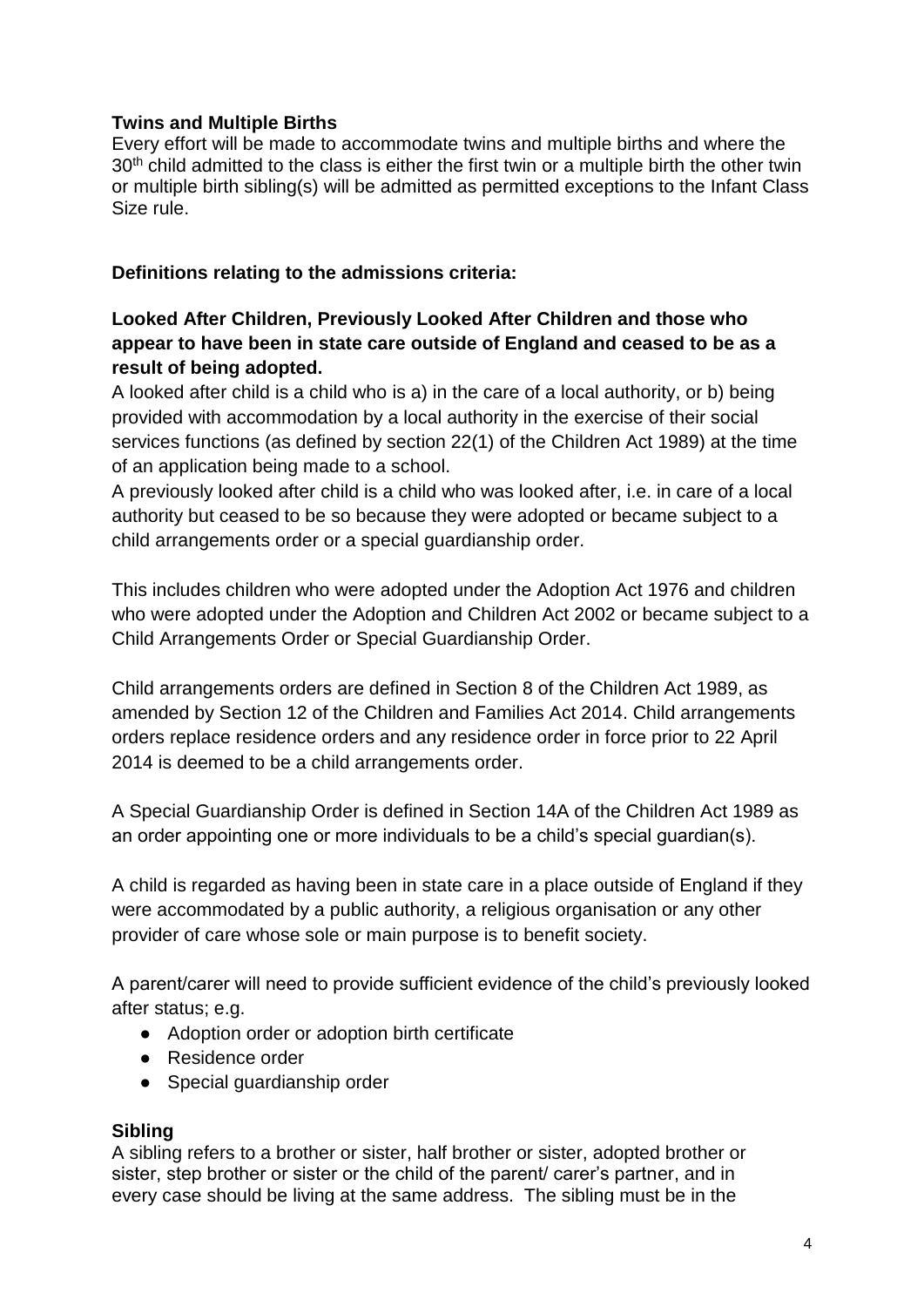## **Twins and Multiple Births**

Every effort will be made to accommodate twins and multiple births and where the 30<sup>th</sup> child admitted to the class is either the first twin or a multiple birth the other twin or multiple birth sibling(s) will be admitted as permitted exceptions to the Infant Class Size rule.

## **Definitions relating to the admissions criteria:**

# **Looked After Children, Previously Looked After Children and those who appear to have been in state care outside of England and ceased to be as a result of being adopted.**

A looked after child is a child who is a) in the care of a local authority, or b) being provided with accommodation by a local authority in the exercise of their social services functions (as defined by section 22(1) of the Children Act 1989) at the time of an application being made to a school.

A previously looked after child is a child who was looked after, i.e. in care of a local authority but ceased to be so because they were adopted or became subject to a child arrangements order or a special guardianship order.

This includes children who were adopted under the Adoption Act 1976 and children who were adopted under the Adoption and Children Act 2002 or became subject to a Child Arrangements Order or Special Guardianship Order.

Child arrangements orders are defined in Section 8 of the Children Act 1989, as amended by Section 12 of the Children and Families Act 2014. Child arrangements orders replace residence orders and any residence order in force prior to 22 April 2014 is deemed to be a child arrangements order.

A Special Guardianship Order is defined in Section 14A of the Children Act 1989 as an order appointing one or more individuals to be a child's special guardian(s).

A child is regarded as having been in state care in a place outside of England if they were accommodated by a public authority, a religious organisation or any other provider of care whose sole or main purpose is to benefit society.

A parent/carer will need to provide sufficient evidence of the child's previously looked after status; e.g.

- Adoption order or adoption birth certificate
- Residence order
- Special quardianship order

## **Sibling**

A sibling refers to a brother or sister, half brother or sister, adopted brother or sister, step brother or sister or the child of the parent/ carer's partner, and in every case should be living at the same address. The sibling must be in the